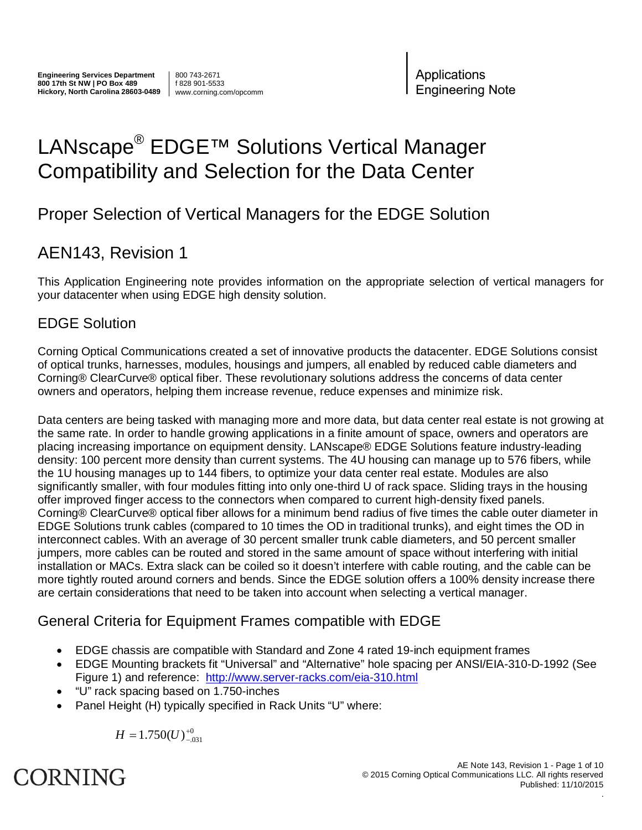800 743-2671 f 828 901-5533 www.corning.com/opcomm Applications **Engineering Note** 

### LANscape<sup>®</sup> EDGE<sup>™</sup> Solutions Vertical Manager Compatibility and Selection for the Data Center

### Proper Selection of Vertical Managers for the EDGE Solution

### AEN143, Revision 1

This Application Engineering note provides information on the appropriate selection of vertical managers for your datacenter when using EDGE high density solution.

### EDGE Solution

Corning Optical Communications created a set of innovative products the datacenter. EDGE Solutions consist of optical trunks, harnesses, modules, housings and jumpers, all enabled by reduced cable diameters and Corning® ClearCurve® optical fiber. These revolutionary solutions address the concerns of data center owners and operators, helping them increase revenue, reduce expenses and minimize risk.

Data centers are being tasked with managing more and more data, but data center real estate is not growing at the same rate. In order to handle growing applications in a finite amount of space, owners and operators are placing increasing importance on equipment density. LANscape® EDGE Solutions feature industry-leading density: 100 percent more density than current systems. The 4U housing can manage up to 576 fibers, while the 1U housing manages up to 144 fibers, to optimize your data center real estate. Modules are also significantly smaller, with four modules fitting into only one-third U of rack space. Sliding trays in the housing offer improved finger access to the connectors when compared to current high-density fixed panels. Corning® ClearCurve® optical fiber allows for a minimum bend radius of five times the cable outer diameter in EDGE Solutions trunk cables (compared to 10 times the OD in traditional trunks), and eight times the OD in interconnect cables. With an average of 30 percent smaller trunk cable diameters, and 50 percent smaller jumpers, more cables can be routed and stored in the same amount of space without interfering with initial installation or MACs. Extra slack can be coiled so it doesn't interfere with cable routing, and the cable can be more tightly routed around corners and bends. Since the EDGE solution offers a 100% density increase there are certain considerations that need to be taken into account when selecting a vertical manager.

### General Criteria for Equipment Frames compatible with EDGE

- EDGE chassis are compatible with Standard and Zone 4 rated 19-inch equipment frames
- EDGE Mounting brackets fit "Universal" and "Alternative" hole spacing per ANSI/EIA-310-D-1992 (See Figure 1) and reference: http://www.server-racks.com/eia-310.html
- "U" rack spacing based on 1.750-inches
- Panel Height (H) typically specified in Rack Units "U" where:

$$
H = 1.750(U)_{-.031}^{+0}
$$



.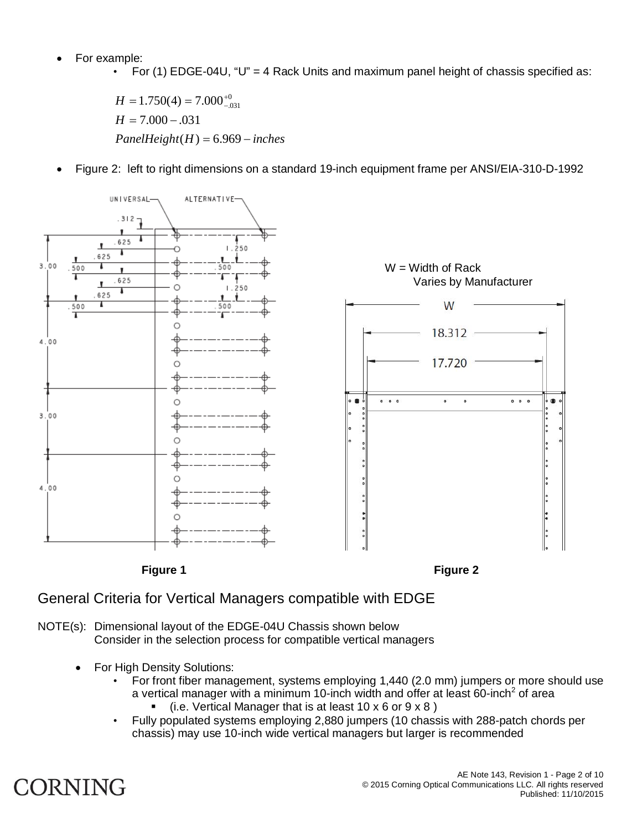- For example:
	- For (1) EDGE-04U, "U" = 4 Rack Units and maximum panel height of chassis specified as:

 $PanelHeight(H) = 6.969 - inches$  $H = 7.000 - .031$  $H = 1.750(4) = 7.000^{+}$  $1.750(4) = 7.000^{+0}_{-.031}$ 

Figure 2: left to right dimensions on a standard 19-inch equipment frame per ANSI/EIA-310-D-1992





NOTE(s): Dimensional layout of the EDGE-04U Chassis shown below Consider in the selection process for compatible vertical managers

- For High Density Solutions:
	- For front fiber management, systems employing 1,440 (2.0 mm) jumpers or more should use a vertical manager with a minimum 10-inch width and offer at least 60-inch<sup>2</sup> of area
		- (i.e. Vertical Manager that is at least 10 x 6 or 9 x 8 )
	- Fully populated systems employing 2,880 jumpers (10 chassis with 288-patch chords per chassis) may use 10-inch wide vertical managers but larger is recommended

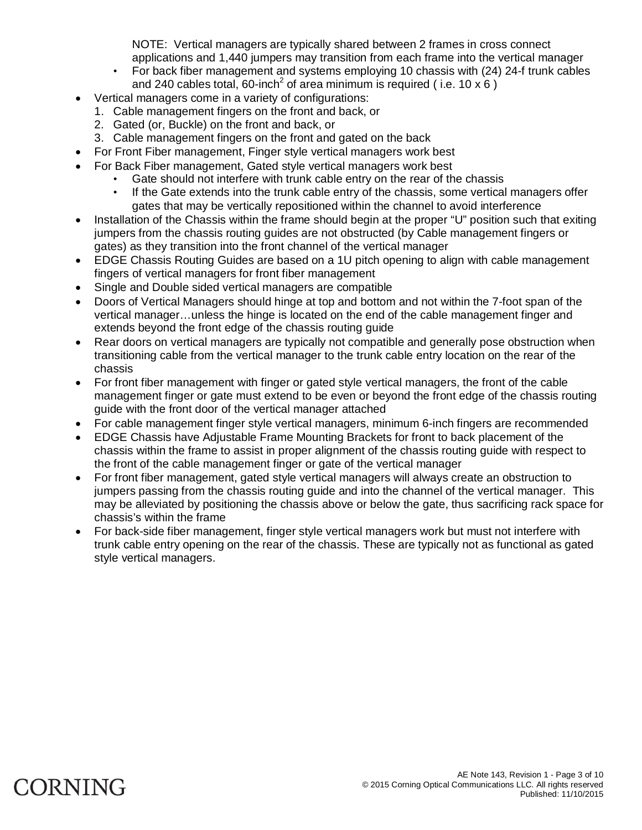NOTE: Vertical managers are typically shared between 2 frames in cross connect applications and 1,440 jumpers may transition from each frame into the vertical manager

- For back fiber management and systems employing 10 chassis with (24) 24-f trunk cables and 240 cables total, 60-inch<sup>2</sup> of area minimum is required (i.e. 10 x 6)
- Vertical managers come in a variety of configurations:
	- 1. Cable management fingers on the front and back, or
	- 2. Gated (or, Buckle) on the front and back, or
	- 3. Cable management fingers on the front and gated on the back
- For Front Fiber management, Finger style vertical managers work best
- For Back Fiber management, Gated style vertical managers work best
	- Gate should not interfere with trunk cable entry on the rear of the chassis
	- If the Gate extends into the trunk cable entry of the chassis, some vertical managers offer gates that may be vertically repositioned within the channel to avoid interference
- Installation of the Chassis within the frame should begin at the proper "U" position such that exiting jumpers from the chassis routing guides are not obstructed (by Cable management fingers or gates) as they transition into the front channel of the vertical manager
- EDGE Chassis Routing Guides are based on a 1U pitch opening to align with cable management fingers of vertical managers for front fiber management
- Single and Double sided vertical managers are compatible
- Doors of Vertical Managers should hinge at top and bottom and not within the 7-foot span of the vertical manager…unless the hinge is located on the end of the cable management finger and extends beyond the front edge of the chassis routing guide
- Rear doors on vertical managers are typically not compatible and generally pose obstruction when transitioning cable from the vertical manager to the trunk cable entry location on the rear of the chassis
- For front fiber management with finger or gated style vertical managers, the front of the cable management finger or gate must extend to be even or beyond the front edge of the chassis routing guide with the front door of the vertical manager attached
- For cable management finger style vertical managers, minimum 6-inch fingers are recommended
- EDGE Chassis have Adjustable Frame Mounting Brackets for front to back placement of the chassis within the frame to assist in proper alignment of the chassis routing guide with respect to the front of the cable management finger or gate of the vertical manager
- For front fiber management, gated style vertical managers will always create an obstruction to jumpers passing from the chassis routing guide and into the channel of the vertical manager. This may be alleviated by positioning the chassis above or below the gate, thus sacrificing rack space for chassis's within the frame
- For back-side fiber management, finger style vertical managers work but must not interfere with trunk cable entry opening on the rear of the chassis. These are typically not as functional as gated style vertical managers.

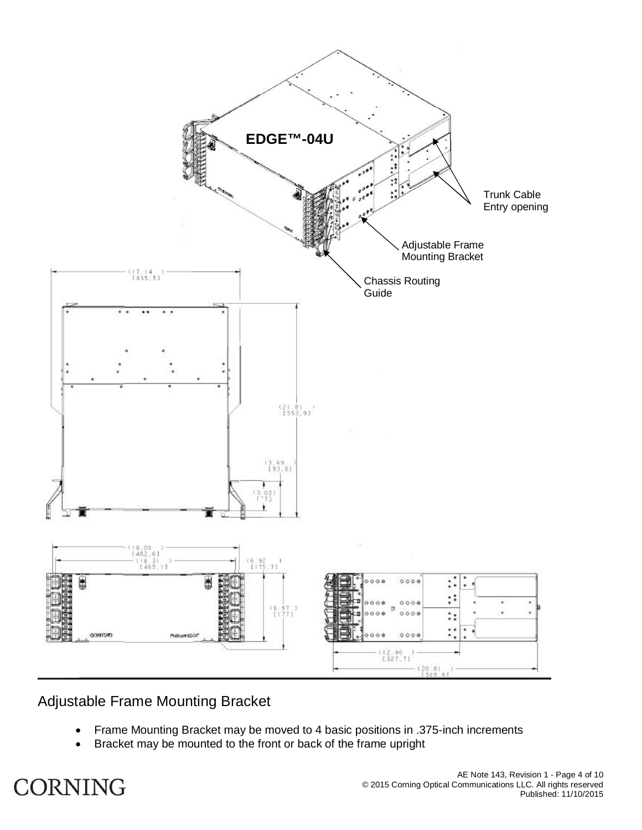

### Adjustable Frame Mounting Bracket

- Frame Mounting Bracket may be moved to 4 basic positions in .375-inch increments
- **•** Bracket may be mounted to the front or back of the frame upright

## **CORNING**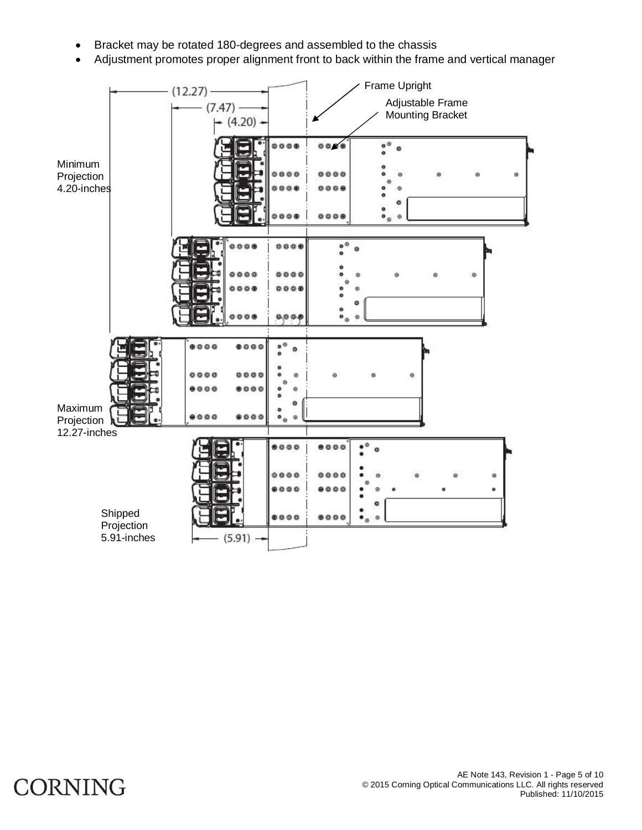- Bracket may be rotated 180-degrees and assembled to the chassis
- Adjustment promotes proper alignment front to back within the frame and vertical manager



## **CORNING**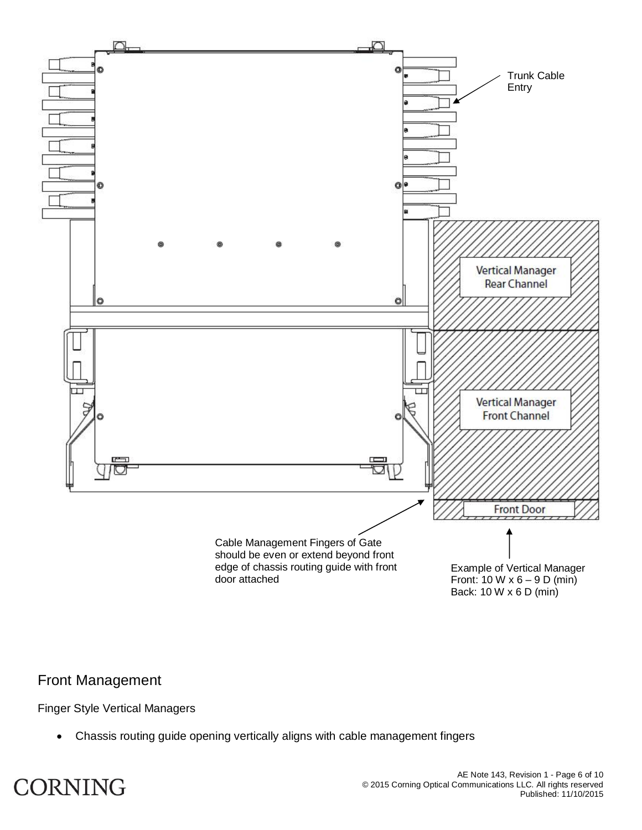

#### Front Management

Finger Style Vertical Managers

Chassis routing guide opening vertically aligns with cable management fingers

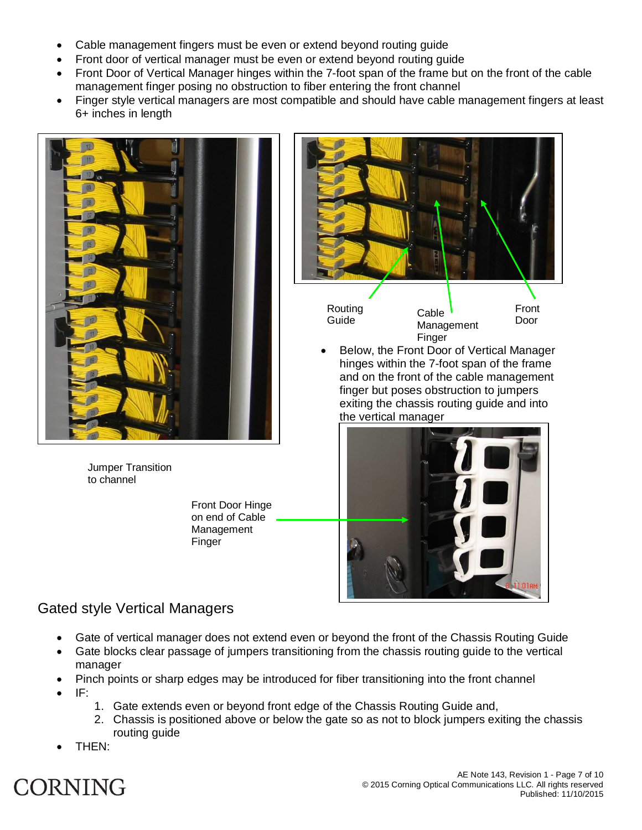- Cable management fingers must be even or extend beyond routing guide
- Front door of vertical manager must be even or extend beyond routing guide
- Front Door of Vertical Manager hinges within the 7-foot span of the frame but on the front of the cable management finger posing no obstruction to fiber entering the front channel
- Finger style vertical managers are most compatible and should have cable management fingers at least 6+ inches in length



Jumper Transition to channel

> Front Door Hinge on end of Cable Management Finger



### Gated style Vertical Managers

- Gate of vertical manager does not extend even or beyond the front of the Chassis Routing Guide
- Gate blocks clear passage of jumpers transitioning from the chassis routing guide to the vertical manager
- Pinch points or sharp edges may be introduced for fiber transitioning into the front channel
- x IF:
- 1. Gate extends even or beyond front edge of the Chassis Routing Guide and,
- 2. Chassis is positioned above or below the gate so as not to block jumpers exiting the chassis routing guide
- THEN:

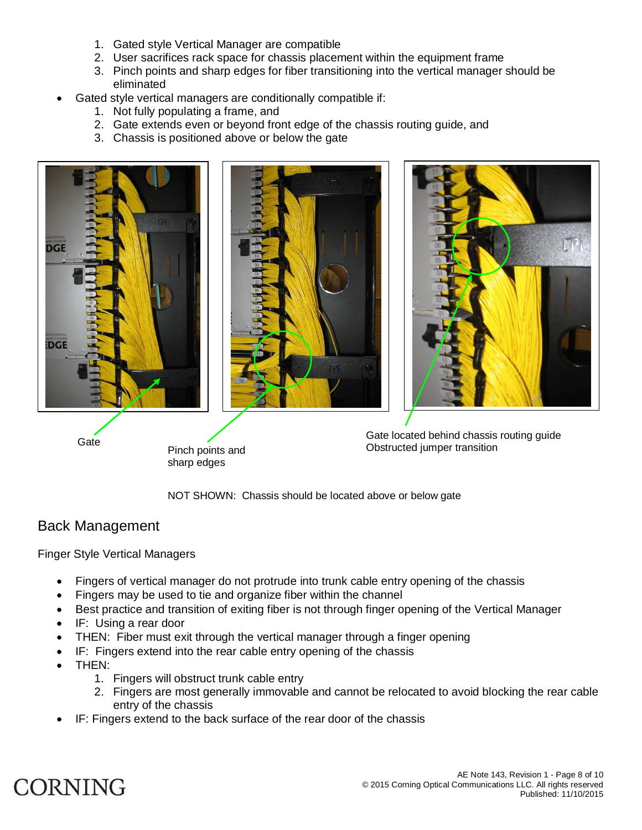- 1. Gated style Vertical Manager are compatible
- 2. User sacrifices rack space for chassis placement within the equipment frame
- 3. Pinch points and sharp edges for fiber transitioning into the vertical manager should be eliminated
- Gated style vertical managers are conditionally compatible if:
	- 1. Not fully populating a frame, and
	- 2. Gate extends even or beyond front edge of the chassis routing guide, and
	- 3. Chassis is positioned above or below the gate







Pinch points and sharp edges

Gate located behind chassis routing guide<br>
Gate Channel Channel Channel Channel Channel Channel Channel Channel Channel Channel Channel Channel Channel Channel Channel Channel Channel Channel Channel Channel Channel Channe Obstructed jumper transition

NOT SHOWN: Chassis should be located above or below gate

#### Back Management

Finger Style Vertical Managers

- Fingers of vertical manager do not protrude into trunk cable entry opening of the chassis
- Fingers may be used to tie and organize fiber within the channel
- Best practice and transition of exiting fiber is not through finger opening of the Vertical Manager
- IF: Using a rear door
- THEN: Fiber must exit through the vertical manager through a finger opening
- IF: Fingers extend into the rear cable entry opening of the chassis
- THEN:
	- 1. Fingers will obstruct trunk cable entry
	- 2. Fingers are most generally immovable and cannot be relocated to avoid blocking the rear cable entry of the chassis
- IF: Fingers extend to the back surface of the rear door of the chassis

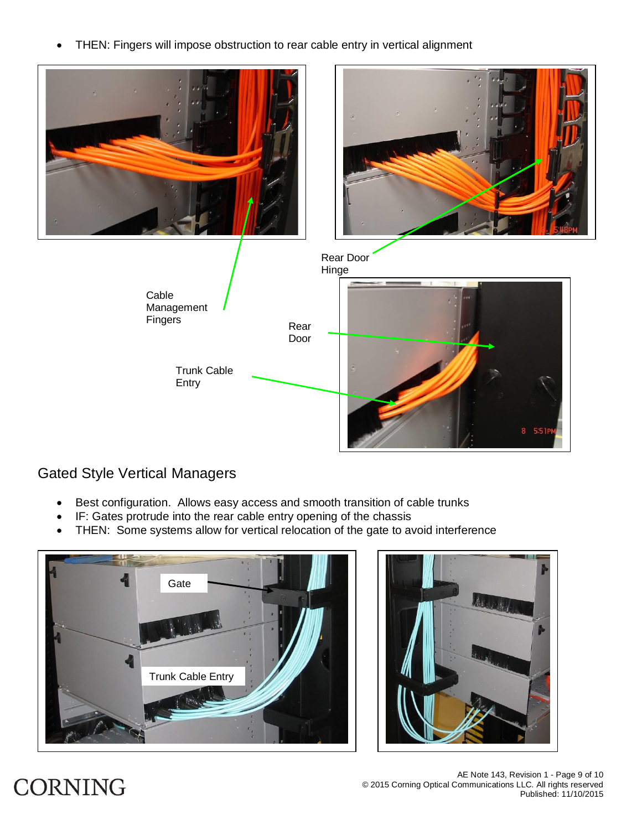• THEN: Fingers will impose obstruction to rear cable entry in vertical alignment



### Gated Style Vertical Managers

- Best configuration. Allows easy access and smooth transition of cable trunks
- IF: Gates protrude into the rear cable entry opening of the chassis
- THEN: Some systems allow for vertical relocation of the gate to avoid interference





# **CORNING**